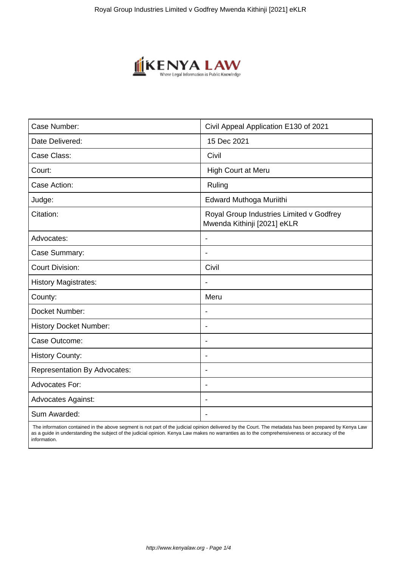

| Case Number:                        | Civil Appeal Application E130 of 2021                                   |
|-------------------------------------|-------------------------------------------------------------------------|
| Date Delivered:                     | 15 Dec 2021                                                             |
| Case Class:                         | Civil                                                                   |
| Court:                              | High Court at Meru                                                      |
| Case Action:                        | Ruling                                                                  |
| Judge:                              | Edward Muthoga Muriithi                                                 |
| Citation:                           | Royal Group Industries Limited v Godfrey<br>Mwenda Kithinji [2021] eKLR |
| Advocates:                          |                                                                         |
| Case Summary:                       |                                                                         |
| <b>Court Division:</b>              | Civil                                                                   |
| <b>History Magistrates:</b>         | $\overline{\phantom{a}}$                                                |
| County:                             | Meru                                                                    |
| Docket Number:                      |                                                                         |
| <b>History Docket Number:</b>       | $\blacksquare$                                                          |
| Case Outcome:                       | $\overline{\phantom{0}}$                                                |
| <b>History County:</b>              | $\overline{\phantom{a}}$                                                |
| <b>Representation By Advocates:</b> | $\blacksquare$                                                          |
| Advocates For:                      | $\blacksquare$                                                          |
| <b>Advocates Against:</b>           | $\blacksquare$                                                          |
| Sum Awarded:                        |                                                                         |

 The information contained in the above segment is not part of the judicial opinion delivered by the Court. The metadata has been prepared by Kenya Law as a guide in understanding the subject of the judicial opinion. Kenya Law makes no warranties as to the comprehensiveness or accuracy of the information.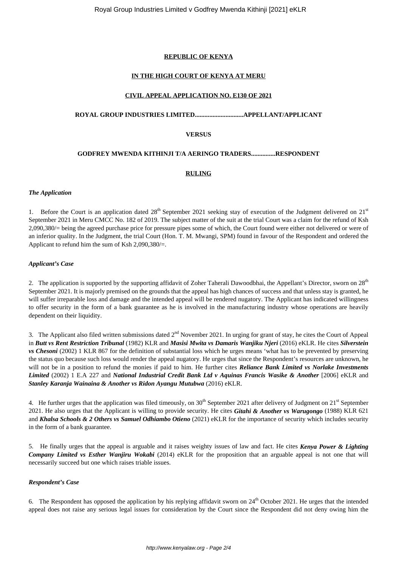### **REPUBLIC OF KENYA**

#### **IN THE HIGH COURT OF KENYA AT MERU**

#### **CIVIL APPEAL APPLICATION NO. E130 OF 2021**

# **ROYAL GROUP INDUSTRIES LIMITED..............................APPELLANT/APPLICANT**

#### **VERSUS**

#### **GODFREY MWENDA KITHINJI T/A AERINGO TRADERS...............RESPONDENT**

#### **RULING**

#### *The Application*

1. Before the Court is an application dated  $28<sup>th</sup>$  September 2021 seeking stay of execution of the Judgment delivered on  $21<sup>st</sup>$ September 2021 in Meru CMCC No. 182 of 2019. The subject matter of the suit at the trial Court was a claim for the refund of Ksh 2,090,380/= being the agreed purchase price for pressure pipes some of which, the Court found were either not delivered or were of an inferior quality. In the Judgment, the trial Court (Hon. T. M. Mwangi, SPM) found in favour of the Respondent and ordered the Applicant to refund him the sum of Ksh 2,090,380/=.

#### *Applicant's Case*

2. The application is supported by the supporting affidavit of Zoher Taherali Dawoodbhai, the Appellant's Director, sworn on  $28<sup>th</sup>$ September 2021. It is majorly premised on the grounds that the appeal has high chances of success and that unless stay is granted, he will suffer irreparable loss and damage and the intended appeal will be rendered nugatory. The Applicant has indicated willingness to offer security in the form of a bank guarantee as he is involved in the manufacturing industry whose operations are heavily dependent on their liquidity.

3. The Applicant also filed written submissions dated 2<sup>nd</sup> November 2021. In urging for grant of stay, he cites the Court of Appeal in *Butt vs Rent Restriction Tribunal* (1982) KLR and *Masisi Mwita vs Damaris Wanjiku Njeri* (2016) eKLR. He cites *Silverstein vs Chesoni* (2002) 1 KLR 867 for the definition of substantial loss which he urges means 'what has to be prevented by preserving the status quo because such loss would render the appeal nugatory. He urges that since the Respondent's resources are unknown, he will not be in a position to refund the monies if paid to him. He further cites *Reliance Bank Limited vs Norlake Investments Limited* (2002) 1 E.A 227 and *National Industrial Credit Bank Ltd v Aquinas Francis Wasike & Another* [2006] eKLR and *Stanley Karanja Wainaina & Another vs Ridon Ayangu Mutubwa* (2016) eKLR.

4. He further urges that the application was filed timeously, on  $30<sup>th</sup>$  September 2021 after delivery of Judgment on  $21<sup>st</sup>$  September 2021. He also urges that the Applicant is willing to provide security. He cites *Gitahi & Another vs Warugongo* (1988) KLR 621 and *Khalsa Schools & 2 Others vs Samuel Odhiambo Otieno* (2021) eKLR for the importance of security which includes security in the form of a bank guarantee.

5. He finally urges that the appeal is arguable and it raises weighty issues of law and fact. He cites *Kenya Power & Lighting Company Limited vs Esther Wanjiru Wokabi* (2014) eKLR for the proposition that an arguable appeal is not one that will necessarily succeed but one which raises triable issues.

#### *Respondent's Case*

6. The Respondent has opposed the application by his replying affidavit sworn on  $24<sup>th</sup>$  October 2021. He urges that the intended appeal does not raise any serious legal issues for consideration by the Court since the Respondent did not deny owing him the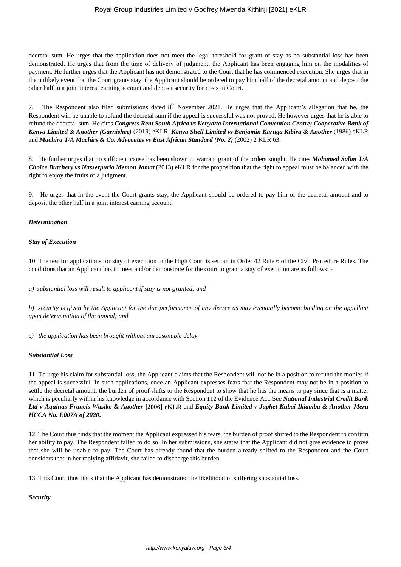decretal sum. He urges that the application does not meet the legal threshold for grant of stay as no substantial loss has been demonstrated. He urges that from the time of delivery of judgment, the Applicant has been engaging him on the modalities of payment. He further urges that the Applicant has not demonstrated to the Court that he has commenced execution. She urges that in the unlikely event that the Court grants stay, the Applicant should be ordered to pay him half of the decretal amount and deposit the other half in a joint interest earning account and deposit security for costs in Court.

7. The Respondent also filed submissions dated  $8<sup>th</sup>$  November 2021. He urges that the Applicant's allegation that he, the Respondent will be unable to refund the decretal sum if the appeal is successful was not proved. He however urges that he is able to refund the decretal sum. He cites *Congress Rent South Africa vs Kenyatta International Convention Centre; Cooperative Bank of Kenya Limited & Another (Garnishee)* (2019) eKLR, *Kenya Shell Limited vs Benjamin Karuga Kibiru & Another* (1986) eKLR and *Machira T/A Machirs & Co. Advocates vs East African Standard (No. 2)* (2002) 2 KLR 63.

8. He further urges that no sufficient cause has been shown to warrant grant of the orders sought. He cites *Mohamed Salim T/A Choice Butchery vs Nasserpuria Memon Jamat* (2013) eKLR for the proposition that the right to appeal must be balanced with the right to enjoy the fruits of a judgment.

9. He urges that in the event the Court grants stay, the Applicant should be ordered to pay him of the decretal amount and to deposit the other half in a joint interest earning account.

#### *Determination*

#### *Stay of Execution*

10. The test for applications for stay of execution in the High Court is set out in Order 42 Rule 6 of the Civil Procedure Rules. The conditions that an Applicant has to meet and/or demonstrate for the court to grant a stay of execution are as follows: -

*a) substantial loss will result to applicant if stay is not granted; and* 

*b) security is given by the Applicant for the due performance of any decree as may eventually become binding on the appellant upon determination of the appeal; and*

*c) the application has been brought without unreasonable delay.* 

#### *Substantial Loss*

11. To urge his claim for substantial loss, the Applicant claims that the Respondent will not be in a position to refund the monies if the appeal is successful. In such applications, once an Applicant expresses fears that the Respondent may not be in a position to settle the decretal amount, the burden of proof shifts to the Respondent to show that he has the means to pay since that is a matter which is peculiarly within his knowledge in accordance with Section 112 of the Evidence Act. See *National Industrial Credit Bank Ltd v Aquinas Francis Wasike & Another* **[2006] eKLR** and *Equity Bank Limited v Japhet Kubai Ikiamba & Another Meru HCCA No. E007A of 2020***.** 

12. The Court thus finds that the moment the Applicant expressed his fears, the burden of proof shifted to the Respondent to confirm her ability to pay. The Respondent failed to do so. In her submissions, she states that the Applicant did not give evidence to prove that she will be unable to pay. The Court has already found that the burden already shifted to the Respondent and the Court considers that in her replying affidavit, she failed to discharge this burden.

13. This Court thus finds that the Applicant has demonstrated the likelihood of suffering substantial loss.

# *Security*